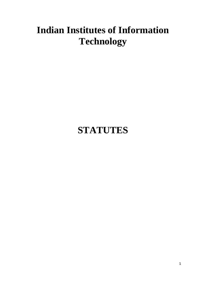## **Indian Institutes of Information Technology**

# **STATUTES**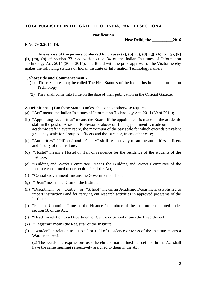### **TO BE PUBLISHED IN THE GAZETTE OF INDIA, PART III SECTION 4**

#### **Notification**

**New Delhi, the \_\_\_\_\_\_\_\_\_\_2016**

#### **F.No.79-2/2015-TS.I**

In exercise of the powers conferred by clauses (a), (b), (c), (d), (g), (h), (i), (j), (k) **(l), (m), (n) of secti**on 33 read with section 34 of the Indian Institutes of Information Technology Act, 2014 (30 of 2014), the Board with the prior approval of the Visitor hereby makes the following statutes of Indian Institute of Information Technology namely

#### **1. Short title and Commencement.-**

- (1) These Statutes may be called The First Statutes of the Indian Institute of Information Technology
- (2) They shall come into force on the date of their publication in the Official Gazette.

#### **2. Definitions.- (1)**In these Statutes unless the context otherwise requires;-

- (a) "Act" means the Indian Institutes of Information Technology Act, 2014 (30 of 2014);
- (b) "Appointing Authorities" means the Board, if the appointment is made on the academic staff in the post of Assistant Professor or above or if the appointment is made on the nonacademic staff in every cadre, the maximum of the pay scale for which exceeds prevalent grade pay scale for Group A Officers and the Director, in any other case;
- (c) "Authorities", 'Officers' and "Faculty" shall respectively mean the authorities, officers and faculty of the Institute;
- (d) "Hostel" means a Hostel or Hall of residence for the residence of the students of the Institute;
- (e) "Building and Works Committee" means the Building and Works Committee of the Institute constituted under section 20 of the Act;
- (f) "Central Government" means the Government of India;
- (g) "Dean" means the Dean of the Institute;
- (h) "Department" or "Centre" or "School" means an Academic Department established to impart instructions and for carrying out research activities in approved programs of the institute;
- (i) "Finance Committee" means the Finance Committee of the Institute constituted under section 18 of the Act;
- (j) "Head" in relation to a Department or Centre or School means the Head thereof;
- (k) "Registrar" means the Registrar of the Institute;
- (l) "Warden" in relation to a Hostel or Hall of Residence or Mess of the Institute means a Warden thereof.

(2) The words and expressions used herein and not defined but defined in the Act shall have the same meaning respectively assigned to them in the Act.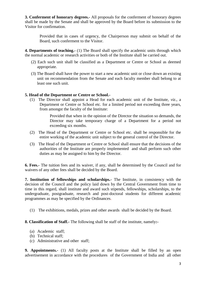**3. Conferment of honorary degrees.-** All proposals for the conferment of honorary degrees shall be made by the Senate and shall be approved by the Board before its submission to the Visitor for confirmation.

Provided that in cases of urgency, the Chairperson may submit on behalf of the Board, such conferment to the Visitor.

**4. Departments of teaching.-** (1) The Board shall specify the academic units through which the normal academic or research activities or both of the Institute shall be carried out.

- (2) Each such unit shall be classified as a Department or Centre or School as deemed appropriate.
- (3) The Board shall have the power to start a new academic unit or close down an existing unit on recommendation from the Senate and each faculty member shall belong to at least one such unit.

### **5. Head of the Department or Centre or School.-**

(1) The Director shall appoint a Head for each academic unit of the Institute, *viz.*, a Department or Centre or School etc. for a limited period not exceeding three years, from amongst the faculty of the Institute:

> Provided that when in the opinion of the Director the situation so demands, the Director may take temporary charge of a Department for a period not exceeding six months.

- (2) The Head of the Department or Centre or School etc. shall be responsible for the entire working of the academic unit subject to the general control of the Director.
- (3) The Head of the Department or Centre or School shall ensure that the decisions of the authorities of the Institute are properly implemented and shall perform such other duties as may be assigned to him by the Director.

**6. Fees.-** The tuition fees and its waiver, if any, shall be determined by the Council and for waivers of any other fees shall be decided by the Board.

**7. Institution of fellowships and scholarships.-** The Institute, in consistency with the decision of the Council and the policy laid down by the Central Government from time to time in this regard, shall institute and award such stipends, fellowships, scholarships, to the undergraduate, postgraduate, research and post-doctoral students for different academic programmes as may be specified by the Ordinances.

(1) The exhibitions, medals, prizes and other awards shall be decided by the Board.

**8. Classification of Staff.-** The following shall be staff of the institute, namely**:-**

- (a) Academic staff;
- (b) Technical staff;
- (c) Administrative and other staff;

**9. Appointments.-** (1) All faculty posts at the Institute shall be filled by an open advertisement in accordance with the procedures of the Government of India and all other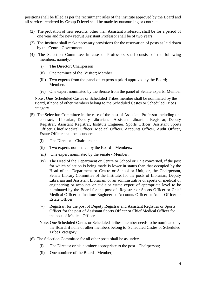positions shall be filled as per the recruitment rules of the institute approved by the Board and all services rendered by Group D level shall be made by outsourcing or contract.

- (2) The probation of new recruits, other than Assistant Professor, shall be for a period of one year and for new recruit Assistant Professor shall be of two years.
- (3) The Institute shall make necessary provisions for the reservation of posts as laid down by the Central Government.
- (4) The Selection Committee in case of Professors shall consist of the following members, namely:-
	- (i) The Director; Chairperson
	- (ii) One nominee of the Visitor; Member
	- (iii) Two experts from the panel of experts a priori approved by the Board; Members
	- (iv) One expert nominated by the Senate from the panel of Senate experts; Member

Note : One Scheduled Castes or Scheduled Tribes member shall be nominated by the Board, if none of other members belong to the Scheduled Castes or Scheduled Tribes category.

- (5) The Selection Committee in the case of the post of Associate Professor including oncontract, Librarian, Deputy Librarian, Assistant Librarian, Registrar, Deputy Registrar, Assistant Registrar, Institute Engineer, Sports Officer, Assistant Sports Officer, Chief Medical Officer, Medical Officer, Accounts Officer, Audit Officer, Estate Officer shall be as under:-
	- (i) The Director Chairperson;
	- (ii) Two experts nominated by the Board Members;
	- (iii) One expert nominated by the senate Member;
	- (iv) The Head of the Department or Centre or School or Unit concerned, if the post for which selection is being made is lower in status than that occupied by the Head of the Department or Centre or School or Unit, or, the Chairperson, Senate Library Committee of the Institute, for the posts of Librarian, Deputy Librarian and Assistant Librarian, or an administrative or sports or medical or engineering or accounts or audit or estate expert of appropriate level to be nominated by the Board for the post of Registrar or Sports Officer or Chief Medical Officer or Institute Engineer or Accounts Officer or Audit Officer or Estate Officer.
	- (v) Registrar, for the post of Deputy Registrar and Assistant Registrar or Sports Officer for the post of Assistant Sports Officer or Chief Medical Officer for the post of Medical Officer.
	- Note: One Scheduled Castes or Scheduled Tribes member needs to be nominated by the Board, if none of other members belong to Scheduled Castes or Scheduled Tribes category.
- (6) The Selection Committee for all other posts shall be as under:-
	- (i) The Director or his nominee appropriate to the post Chairperson;
	- (ii) One nominee of the Board Member;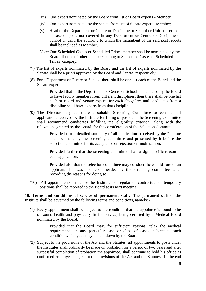- (iii) One expert nominated by the Board from list of Board experts Member;
- (iv) One expert nominated by the senate from list of Senate expert Member;
- (v) Head of the Department or Centre or Discipline or School or Unit concerned in case of posts not covered in any Department or Centre or Discipline or School or Unit, the authority to which the incumbent of the said post reports shall be included as Member.
- Note: One Scheduled Castes or Scheduled Tribes member shall be nominated by the Board, if none of other members belong to Scheduled Castes or Scheduled Tribes category.
- (7) The list of experts nominated by the Board and the list of experts nominated by the Senate shall be a priori approved by the Board and Senate, respectively.
- (8) For a Department or Centre or School, there shall be one list each of the Board and the Senate experts:

Provided that if the Department or Centre or School is mandated by the Board to have faculty members from different disciplines, then there shall be one list each of Board and Senate experts for *each discipline*, and candidates from a discipline shall have experts from that discipline.

(9) The Director may constitute a suitable Screening Committee to consider all applications received by the Institute for filling of posts and the Screening Committee shall recommend candidates fulfilling the eligibility criterion, along with the relaxations granted by the Board, for the consideration of the Selection Committee.

> Provided that a detailed summary of all applications received by the Institute shall be made by the screening committee and presented by it before the selection committee for its acceptance or rejection or modification;

> Provided further that the screening committee shall assign specific reason of each application:

> Provided also that the selection committee may consider the candidature of an applicant that was not recommended by the screening committee, after recording the reasons for doing so.

(10) All appointments made by the Institute on regular or contractual or temporary positions shall be reported to the Board at its next meeting.

**10. Terms and conditions of service of permanent staff.-** The permanent staff of the Institute shall be governed by the following terms and conditions, namely:-

(1) Every appointment shall be subject to the condition that the appointee is found to be of sound health and physically fit for service, being certified by a Medical Board nominated by the Board.

> Provided that the Board may, for sufficient reasons, relax the medical requirements in any particular case or class of cases, subject to such conditions, if any, as may be laid down by the Board.

(2) Subject to the provisions of the Act and the Statutes, all appointments to posts under the Institutes shall ordinarily be made on probation for a period of two years and after successful completion of probation the appointee, shall continue to hold his office as confirmed employee, subject to the provisions of the Act and the Statutes, till the end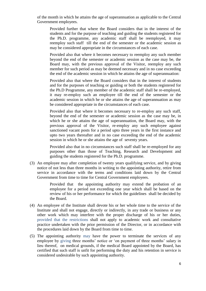of the month in which he attains the age of superannuation as applicable to the Central Government employees.

Provided further that where the Board considers that in the interest of the students and for the purpose of teaching and guiding the students registered for the Ph.D. programme, any academic staff shall be reemployed, it may reemploy such staff till the end of the semester or the academic session as may be considered appropriate in the circumstances of each case.

Provided also that where it becomes necessary to reemploy any such member beyond the end of the semester or academic session as the case may be, the Board may, with the previous approval of the Visitor, reemploy any such member for such period as may be deemed necessary and in no case exceeding the end of the academic session in which he attains the age of superannuation:

Provided also that where the Board considers that in the interest of students and for the purposes of teaching or guiding or both the students registered for the Ph.D Programme, any member of the academic staff shall be re-employed, it may re-employ such an employee till the end of the semester or the academic session in which he or she attains the age of superannuation as may be considered appropriate in the circumstances of each case.

Provided also that where it becomes necessary to re-employ any such staff, beyond the end of the semester or academic session as the case may be, in which he or she attains the age of superannuation, the Board may, with the previous approval of the Visitor, re-employ any such employee against sanctioned vacant posts for a period upto three years in the first instance and upto two years thereafter and in no case exceeding the end of the academic session in which he or she attains the age of seventy years.

Provided also that in no circumstances such staff shall be re-employed for any purposes other than those of Teaching, Research and Development and guiding the students registered for the Ph.D. programme.

(3) An employee may after completion of twenty years qualifying service, and by giving notice of not less than three months in writing to the appointing authority, retire from service in accordance with the terms and conditions laid down by the Central Government from time to time for Central Government employees.

> Provided that the appointing authority may extend the probation of an employee for a period not exceeding one year which shall be based on the review of his or her performance for which the guidelines shall be decided by the Board.

- (4) An employee of the Institute shall devote his or her whole time to the service of the Institute and shall not engage, directly or indirectly, in any trade or business or any other work which may interfere with the proper discharge of his or her duties, provided that the restrictions shall not apply to academic work and consultative practice undertaken with the prior permission of the Director, or in accordance with the procedures laid down by the Board from time to time.
- (5) The appointing authority may have the power to terminate the services of any employee by giving three months' notice or 'on payment of three months' salary in lieu thereof, on medical grounds, if the medical Board appointed by the Board, has certified that such staff is unfit for performing the duty and his retention in service is considered undesirable by such appointing authority.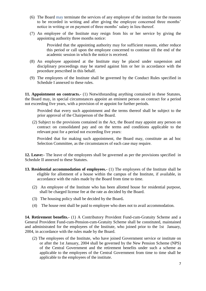- (6) The Board may terminate the services of any employee of the institute for the reasons to be recorded in writing and after giving the employee concerned three months' notice in writing or on payment of three months' salary in lieu thereof.
- (7) An employee of the Institute may resign from his or her service by giving the appointing authority three months notice:

Provided that the appointing authority may for sufficient reasons, either reduce this period or call upon the employee concerned to continue till the end of the academic session in which the notice is received.

- (8) An employee appointed at the Institute may be placed under suspension and disciplinary proceedings may be started against him or her in accordance with the procedure prescribed in this behalf.
- (9) The employees of the Institute shall be governed by the Conduct Rules specified in Schedule I annexed to these rules.

**11. Appointment on contracts.-** (1) Notwithstanding anything contained in these Statutes, the Board may, in special circumstances appoint an eminent person on contract for a period not exceeding five years, with a provision of re appoint for further periods.

Provided that every such appointment and the terms thereof shall be subject to the prior approval of the Chairperson of the Board.

(2) Subject to the provisions contained in the Act, the Board may appoint any person on contract on consolidated pay and on the terms and conditions applicable to the relevant post for a period not exceeding five years:

Provided that for making such appointment, the Board may, constitute an ad hoc Selection Committee, as the circumstances of each case may require.

**12. Leave:-** The leave of the employees shall be governed as per the provisions specified in Schedule II annexed to these Statutes.

- **13. Residential accommodation of employees.-** (1) The employees of the Institute shall be eligible for allotment of a house within the campus of the Institute, if available, in accordance with the rules made by the Board from time to time.
	- (2) An employee of the Institute who has been allotted house for residential purpose, shall be charged license fee at the rate as decided by the Board.
	- (3) The housing policy shall be decided by the Board**.**
	- (4) The house rent shall be paid to employee who does not to avail accommodation.

**14. Retirement benefits.-** (1) A Contributory Provident Fund-cum-Gratuity Scheme and a General Provident Fund-cum-Pension-cum-Gratuity Scheme shall be constituted, maintained and administrated for the employees of the Institute, who joined prior to the 1st January, 2004, in accordance with the rules made by the Board.

(2) The employees of the Institute, who have joined Government service or institute on or after the 1st January, 2004 shall be governed by the New Pension Scheme (NPS) of the Central Government and the retirement benefits under such a scheme as applicable to the employees of the Central Government from time to time shall be applicable to the employees of the institute.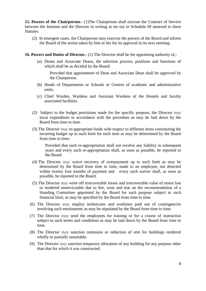**15. Powers of the Chairperson.-** (1)The Chairperson shall execute the Contract of Service between the Institute and the Director in writing as set out in Schedule III annexed to these Statutes.

- (2) In emergent cases, the Chairperson may exercise the powers of the Board and inform the Board of the action taken by him or her for its approval in its next meeting.
- **16. Powers and Duties of Director.-** (1) The Director shall be the appointing authority of,-
	- (a) Deans and Associate Deans, the selection process, positions and functions of which shall be as decided by the Board:

 Provided that appointment of Dean and Associate Dean shall be approved by the Chairperson.

- (b) Heads of Departments or Schools or Centres of academic and administrative units;
- (c) Chief Warden, Wardens and Assistant Wardens of the Hostels and faculty associated facilities.
- (2) Subject to the budget provisions made for the specific purpose, the Director may incur expenditure in accordance with the procedure as may be laid down by the Board from time to time.
- (3) The Director may re-appropriate funds with respect to different items constituting the recurring budget up to such limit for each item as may be determined by the Board from time to time:

Provided that such re-appropriation shall not involve any liability in subsequent years and every such re-appropriation shall, as soon as possible, be reported to the Board.

- (4) The Director may waive recovery of overpayment up to such limit as may be determined by the Board from time to time, made to an employee, not detected within twenty four months of payment and every such waiver shall, as soon as possible, be reported to the Board.
- (5) The Director may write off irrecoverable losses and irrecoverable value of stores lost or rendered unserviceable due to fire, wear and tear on the recommendation of a Standing Committee appointed by the Board for such purpose subject to such financial limit, as may be specified by the Board from time to time.
- (6) The Director may employ technicians and workmen paid out of contingencies involving such emoluments as may be stipulated by the Board from time to time.
- (7) The Director may send the employees for training or for a course of instruction subject to such terms and conditions as may be laid down by the Board from time to time.
- (8) The Director may sanction remission or reduction of rent for buildings rendered wholly or partially unsuitable.
- (9) The Director may sanction temporary allocation of any building for any purpose other than that for which it was constructed.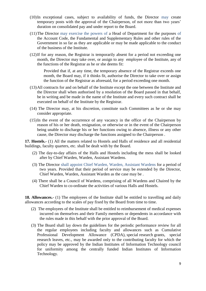- (10)In exceptional cases, subject to availability of funds, the Director may create temporary posts with the approval of the Chairperson, of not more than two years' duration on consolidated pay and under report to the Board.
- (11)The Director may exercise the powers of a Head of Department for the purposes of the Account Code, the Fundamental and Supplementary Rules and other rules of the Government in so far as they are applicable or may be made applicable to the conduct of the business of the Institute.
- (12)If for any reason, the Registrar is temporarily absent for a period not exceeding one month, the Director may take over, or assign to any employee of the Institute, any of the functions of the Registrar as he or she deems fit:

Provided that if, at any time, the temporary absence of the Registrar exceeds one month, the Board may, if it thinks fit, authorise the Director to take over or assign the function of the Registrar as aforesaid, for a period exceeding one month.

- (13)All contracts for and on behalf of the Institute except the one between the Institute and the Director shall when authorised by a resolution of the Board passed in that behalf, be in writing and be made in the name of the Institute and every such contract shall be executed on behalf of the Institute by the Registrar.
- (14) The Director may, at his discretion, constitute such Committees as he or she may consider appropriate.
- (15)In the event of the occurrence of any vacancy in the office of the Chairperson by reason of his or her death, resignation, or otherwise or in the event of the Chairperson being unable to discharge his or her functions owing to absence, illness or any other cause, the Director may discharge the functions assigned to the Chairperson .

**17. Hostels.-** (1) All the matters related to Hostels and Halls of residence and all residential buildings, faculty quarters, etc. shall be dealt with by the Board.

- (2) The day-to-day affairs of the Halls and Hostels including the mess shall be looked after by Chief Warden, Warden, Assistant Wardens.
- (3) The Director shall appoint Chief Warden, Warden, Assistant Wardens for a period of two years. Provided that their period of service may be extended by the Director, Chief Warden, Warden, Assistant Warden as the case may be .
- (4) There shall be a Council of Wardens, comprising of all Wardens and Chaired by the Chief Warden to co-ordinate the activities of various Halls and Hostels.

**18. Allowances.-** (1) The employees of the Institute shall be entitled to travelling and daily allowances according to the scales of pay fixed by the Board from time to time.

- (2) The employees of the Institute shall be entitled to reimbursement of medical expenses incurred on themselves and their Family members or dependents in accordance with the rules made in this behalf with the prior approval of the Board.
- (3) The Board shall lay down the guidelines for the periodic performance review for all the regular employees including faculty and allowances such as Cumulative Professional Development Allowance (CPDA), special research grants, special research leaves, etc., may be awarded only to the contributing faculty for which the policy may be approved by the Indian Institutes of Information Technology council for uniformity among the centrally funded Indian Institutes of Information Technology.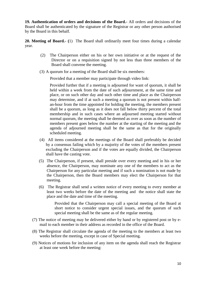**19. Authentication of orders and decisions of the Board.-** All orders and decisions of the Board shall be authenticated by the signature of the Registrar or any other person authorised by the Board in this behalf.

**20. Meeting of Board.- (**1) The Board shall ordinarily meet four times during a calendar year.

- (2) The Chairperson either on his or her own initiative or at the request of the Director or on a requisition signed by not less than three members of the Board shall convene the meeting.
- (3) A quorum for a meeting of the Board shall be six members:

Provided that a member may participate through video link:

Provided further that if a meeting is adjourned for want of quorum, it shall be held within a week from the date of such adjournment, at the same time and place, or on such other day and such other time and place as the Chairperson may determine, and if at such a meeting a quorum is not present within halfan-hour from the time appointed for holding the meeting, the members present shall be a quorum, as long as it does not fall below thirty percent of the total membership and in such cases where an adjourned meeting started without normal quorum, the meeting shall be deemed as over as soon as the number of members present goes below the number at the starting of the meeting and the agenda of adjourned meeting shall be the same as that for the originally scheduled meeting.

- (4) All items considered at the meetings of the Board shall preferably be decided by a consensus failing which by a majority of the votes of the members present excluding the Chairperson and if the votes are equally divided, the Chairperson shall have the casting vote.
- (5) The Chairperson, if present, shall preside over every meeting and in his or her absence, the Chairperson, may nominate any one of the members to act as the Chairperson for any particular meeting and if such a nomination is not made by the Chairperson, then the Board members may elect the Chairperson for that meeting.
- (6) The Registrar shall send a written notice of every meeting to every member at least two weeks before the date of the meeting and the notice shall state the place and the date and time of the meeting.

Provided that the Chairperson may call a special meeting of the Board at short notice to consider urgent special issues, and the quorum of such special meeting shall be the same as of the regular meeting.

- (7) The notice of meeting may be delivered either by hand or by registered post or by email to each member in their address as recorded in the office of the Board.
- (8) The Registrar shall circulate the agenda of the meeting to the members at least two weeks before the meeting, except in case of Special meeting.
- (9) Notices of motions for inclusion of any item on the agenda shall reach the Registrar at least one week before the meeting: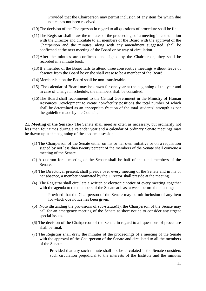Provided that the Chairperson may permit inclusion of any item for which due notice has not been received.

- (10)The decision of the Chairperson in regard to all questions of procedure shall be final.
- (11)The Registrar shall draw the minutes of the proceedings of a meeting in consultation with the Director and circulate to all members of the Board with the approval of the Chairperson and the minutes, along with any amendment suggested, shall be confirmed at the next meeting of the Board or by way of circulation.
- (12)After the minutes are confirmed and signed by the Chairperson, they shall be recorded in a minute book.
- (13)If a member of the Board fails to attend three consecutive meetings without leave of absence from the Board he or she shall cease to be a member of the Board.
- (14)Membership on the Board shall be non-transferable.
- (15) The calendar of Board may be drawn for one year at the beginning of the year and in case of change in schedule, the members shall be consulted.
- (16)The Board shall recommend to the Central Government in the Ministry of Human Resources Development to create non-faculty positions the total number of which shall be determined as an appropriate fraction of the total students' strength as per the guideline made by the Council.

**21. Meeting of the Senate.-** The Senate shall meet as often as necessary, but ordinarily not less than four times during a calendar year and a calendar of ordinary Senate meetings may be drawn up at the beginning of the academic session.

- (1) The Chairperson of the Senate either on his or her own initiative or on a requisition signed by not less than twenty percent of the members of the Senate shall convene a meeting of the Senate.
- (2) A quorum for a meeting of the Senate shall be half of the total members of the Senate.
- (3) The Director, if present, shall preside over every meeting of the Senate and in his or her absence, a member nominated by the Director shall preside at the meeting.
- (4) The Registrar shall circulate a written or electronic notice of every meeting, together with the agenda to the members of the Senate at least a week before the meeting:

Provided that the Chairperson of the Senate may permit inclusion of any item for which due notice has been given.

- (5) Notwithstanding the provisions of sub-statute(1), the Chairperson of the Senate may call for an emergency meeting of the Senate at short notice to consider any urgent special issues.
- (6) The decision of the Chairperson of the Senate in regard to all questions of procedure shall be final.
- (7) The Registrar shall draw the minutes of the proceedings of a meeting of the Senate with the approval of the Chairperson of the Senate and circulated to all the members of the Senate:

Provided that any such minute shall not be circulated if the Senate considers such circulation prejudicial to the interests of the Institute and the minutes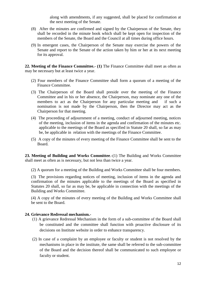along with amendments, if any suggested, shall be placed for confirmation at the next meeting of the Senate.

- (8) After the minutes are confirmed and signed by the Chairperson of the Senate, they shall be recorded in the minute book which shall be kept open for inspection of the members of the Senate, the Board and the Council at all times during office hours.
- (9) In emergent cases, the Chairperson of the Senate may exercise the powers of the Senate and report to the Senate of the action taken by him or her at its next meeting for its approval.

**22. Meeting of the Finance Committee.- (1)** The Finance Committee shall meet as often as may be necessary but at least twice a year.

- (2) Four members of the Finance Committee shall form a quorum of a meeting of the Finance Committee.
- (3) The Chairperson of the Board shall preside over the meeting of the Finance Committee and in his or her absence, the Chairperson, may nominate any one of the members to act as the Chairperson for any particular meeting and if such a nomination is not made by the Chairperson, then the Director may act as the Chairperson for that meeting.
- (4) The proceeding of adjournment of a meeting, conduct of adjourned meeting, notices of the meeting, inclusion of items in the agenda and confirmation of the minutes etc. applicable to the meetings of the Board as specified in Statute 20 shall, so far as may be, be applicable in relation with the meetings of the Finance Committee.
- (5) A copy of the minutes of every meeting of the Finance Committee shall be sent to the Board.

**23. Meeting of Building and Works Committee**.-(1) The Building and Works Committee shall meet as often as is necessary, but not less than twice a year.

(2) A quorum for a meeting of the Building and Works Committee shall be four members.

(3) The provisions regarding notices of meeting, inclusion of items in the agenda and confirmation of the minutes applicable to the meetings of the Board as specified in Statutes 20 shall, so far as may be, be applicable in connection with the meetings of the Building and Works Committee.

(4) A copy of the minutes of every meeting of the Building and Works Committee shall be sent to the Board.

#### **24. Grievance Redressal mechanism.-**

- (1) A grievance Redressal Mechanism in the form of a sub-committee of the Board shall be constituted and the committee shall function with proactive disclosure of its decisions on Institute website in order to enhance transparency.
- (2) In case of a complaint by an employee or faculty or student is not resolved by the mechanisms in place in the institute, the same shall be referred to the sub-committee of the Board and the decision thereof shall be communicated to such employee or faculty or student.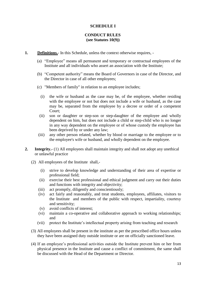## **SCHEDULE I**

## **CONDUCT RULES (see Statutes 10(9))**

- **1. Definitions.** In this Schedule, unless the context otherwise requires,
	- (a) "Employee" means all permanent and temporary or contractual employees of the Institute and all individuals who assert an association with the Institute;
	- (b) "Competent authority" means the Board of Governors in case of the Director, and the Director in case of all other employees;
	- (c) "Members of family" in relation to an employee includes;
		- (i) the wife or husband as the case may be, of the employee, whether residing with the employee or not but does not include a wife or husband, as the case may be, separated from the employee by a decree or order of a competent Court;
		- (ii) son or daughter or step-son or step-daughter of the employee and wholly dependent on him, but does not include a child or step-child who is no longer in any way dependent on the employee or of whose custody the employee has been deprived by or under any law;
	- (iii) any other person related, whether by blood or marriage to the employee or to the employee's wife or husband, and wholly dependent on the employee.
- **2. Integrity.-** (1) All employees shall maintain integrity and shall not adopt any unethical or unlawful practice
	- (2) All employees of the Institute shall,-
		- (i) strive to develop knowledge and understanding of their area of expertise or professional field;
		- (ii) exercise their best professional and ethical judgment and carry out their duties and functions with integrity and objectivity;
		- (iii) act promptly, diligently and conscientiously;
		- (iv) act fairly and reasonably, and treat students, employees, affiliates, visitors to the Institute and members of the public with respect, impartiality, courtesy and sensitivity;
		- (v) avoid conflicts of interest;
		- (vi) maintain a co-operative and collaborative approach to working relationships; and
		- (vii) protect the Institute's intellectual property arising from teaching and research
	- (3) All employees shall be present in the institute as per the prescribed office hours unless they have been assigned duty outside institute or are on officially sanctioned leave.
	- (4) If an employee's professional activities outside the Institute prevent him or her from physical presence in the Institute and cause a conflict of commitment, the same shall be discussed with the Head of the Department or Director.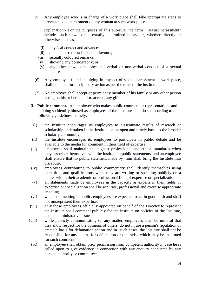(5) Any employee who is in charge of a work place shall take appropriate steps to prevent sexual harassment of any woman at such work place.

Explanation:- For the purposes of this sub-rule, the term "sexual harassment" includes such unwelcome sexually determined behaviour, whether directly or otherwise, such as,-

- (i) physical contact and advances;
- (ii) demand or request for sexual favours;
- (iii) sexually coloured remarks;
- (iv) showing any pornography; or
- (v) any other unwelcome physical, verbal or non-verbal conduct of a sexual nature.
- (6) Any employee found indulging in any act of sexual harassment at work-place, shall be liable for disciplinary action as per the rules of the institute.
- (7) No employee shall accept or permit any member of his family or any other person acting on his or her behalf to accept, any gift.
- **3. Public comment.-** An employee who makes public comment or representations and in doing so identify himself as employees of the Institute shall do so according to the following guidelines, namely:-
- (i) the Institute encourages its employees to disseminate results of research or scholarship undertaken in the Institute on an open and timely basis to the broader scholarly community;
- (ii) the Institute encourages its employees to participate in public debate and be available to the media for comment in their field of expertise.
- (iii) employees shall maintain the highest professional and ethical standards when they associate themselves with the Institute in public statements, and an employee shall ensure that no public statement made by him shall bring the Institute into disrepute;
- (iv) employees contributing to public commentary shall identify themselves using their title, and qualifications when they are writing or speaking publicly on a matter within their academic or professional field of expertise or specialization;
- (v) all statements made by employees in the capacity as experts in their fields of expertise or specialization shall be accurate, professional and exercise appropriate restraint;
- (vi) when commenting in public, employees are expected to act in good faith and shall not misrepresent their expertise;
- (vii) only those employees officially appointed on behalf of the Director to represent the Institute shall comment publicly for the Institute on policies of the Institute, and all administrative issues;
- (viii) while publicly communicating on any matter, employees shall be mindful that they show respect for the opinions of others, do not injure a person's reputation or create a basis for defamation action and in such cases, the Institute shall not be responsible for any claims for defamation or otherwise which may be instituted for such comment;
	- (ix) an employee shall obtain prior permission from competent authority in case he is called upon to give evidence in connection with any enquiry conducted by any person, authority or committee;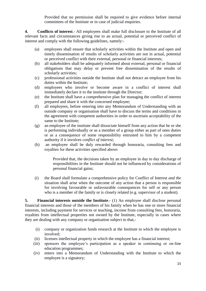Provided that no permission shall be required to give evidence before internal committees of the Institute or in case of judicial enquiries.

**4. Conflicts of interest**.- All employees shall make full disclosure to the Institute of all relevant facts and circumstances giving rise to an actual, potential or perceived conflict of interest and comply with the following guidelines, namely:-

- (a) employees shall ensure that scholarly activities within the Institute and open and timely dissemination of results of scholarly activities are not in actual, potential or perceived conflict with their external, personal or financial interests;
- (b) all stakeholders shall be adequately informed about external, personal or financial obligations that may delay or prevent free dissemination of the results of scholarly activities;
- (c) professional activities outside the Institute shall not detract an employee from his duties within the Institute;
- (d) employees who involve or become aware in a conflict of interest shall immediately declare it to the institute through the Director;
- (e) the Institute shall have a comprehensive plan for managing the conflict of interest prepared and share it with the concerned employee;
- (f) all employees, before entering into any Memorandum of Understanding with an outside company or organisation shall have to discuss the terms and conditions in the agreement with competent authorities in order to ascertain acceptability of the same to the Institute;
- (g) an employee of the institute shall dissociate himself from any action that he or she is performing individually or as a member of a group either as part of ones duties or as a consequence of some responsibility entrusted to him by a competent authority if it involves *conflict of interest;*
- (h) an employee shall be duly rewarded through honoraria, consulting fees and royalties for these activities specified above:

Provided that, the decisions taken by an employee in day to day discharge of responsibilities in the Institute should not be influenced by considerations of personal financial gains;

(i) the Board shall formulate a comprehensive policy for Conflict of Interest *and the*  situation shall arise when the outcome of any action that a person is responsible for involving favourable or unfavourable consequences for self or any person who is a member of the family or is closely related (e.g. supervisor of a student).

**5. Financial interests outside the Institute**.- (1) An employee shall disclose personal financial interests and those of the members of his family when he has one or more financial interests, including payment for services or teaching, income from consulting fees, honoraria, royalties from intellectual properties not owned by the Institute, especially in cases where they are dealing with any company or organisation subject to that,-

- (i) company or organization funds research at the Institute in which the employee is involved;
- (ii) licenses intellectual property in which the employee has a financial interest;
- (iii) sponsors the employee's participation as a speaker in continuing or on-line education programmes;
- (iv) enters into a Memorandum of Understanding with the Institute to which the employee is a signatory;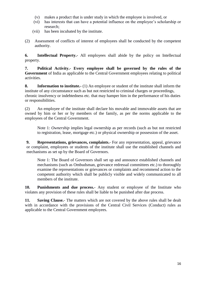- (v) makes a product that is under study in which the employee is involved, or
- (vi) has interests that can have a potential influence on the employee's scholarship or research;
- (vii) has been incubated by the institute.
- (2) Assessment of conflicts of interest of employees shall be conducted by the competent authority.

**6. Intellectual Property.-** All employees shall abide by the policy on Intellectual property.

**7. Political Activity.- Every employee shall be governed by the rules of the Government** of India as applicable to the Central Government employees relating to political activities.

**8. Information to institute.-** (1) An employee or student of the institute shall inform the institute of any circumstance such as but not restricted to criminal charges or proceedings, chronic insolvency or indebtedness etc. that may hamper him in the performance of his duties or responsibilities.

(2) An employee of the institute shall declare his movable and immovable assets that are owned by him or her or by members of the family, as per the norms applicable to the employees of the Central Government.

Note 1: *Ownership* implies legal ownership as per records (such as but not restricted to registration, lease, mortgage etc.) or physical ownership or possession of the asset.

**9. Representations, grievances, complaints.**- For any representation, appeal, grievance or complaint, employees or students of the institute shall use the established channels and mechanisms as set up by the Board of Governors.

Note 1: The Board of Governors shall set up and announce established channels and mechanisms (such as Ombudsman, grievance redressal committees etc.) to thoroughly examine the representations or grievances or complaints and recommend action to the competent authority which shall be publicly visible and widely communicated to all members of the institute.

**10. Punishments and due process.**- Any student or employee of the Institute who violates any provision of these rules shall be liable to be punished after due process.

**11. Saving Clause.**- The matters which are not covered by the above rules shall be dealt with in accordance with the provisions of the Central Civil Services (Conduct) rules as applicable to the Central Government employees.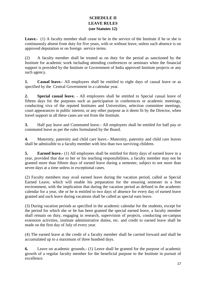## **SCHEDULE II LEAVE RULES (see Statutes 12)**

Leave.- (1) A faculty member shall cease to be in the service of the Institute if he or she is continuously absent from duty for five years, with or without leave, unless such absence is on approved deputation or on foreign service terms.

(2) A faculty member shall be treated as on duty for the period as sanctioned by the Institute for academic work including attending conferences or seminars when the financial support is provided by the Institute or Government of India approved Institute projects or any such agency.

**1. Casual leave.-** All employees shall be entitled to eight days of casual leave or as specified by the Central Government in a calendar year.

**2. Special casual leave.** - All employees shall be entitled to Special casual leave of fifteen days for the purposes such as participation in conferences or academic meetings, conducting viva of the reputed Institutes and Universities, selection committee meetings, court appearances in public interest, or any other purpose as it deem fit by the Director, when travel support in all these cases are not from the Institute.

**3.** Half pay leave and Commuted leave.- All employees shall be entitled for half pay or commuted leave as per the rules formulated by the Board.

**4.** Maternity, paternity and child care leave.- Maternity, paternity and child care leaves shall be admissible to a faculty member with less than two surviving children.

**5. Earned leave.-** (1) All employees shall be entitled for thirty days of earned leave in a year, provided that due to her or his teaching responsibilities, a faculty member may not be granted more than fifteen days of earned leave during a semester, subject to not more than seven days at a time unless in exceptional cases.

(2) Faculty members may avail earned leave during the vacation period, called as Special Earned Leave, which will enable his preparation for the ensuring semester in a free environment, with the implication that during the vacation period as defined in the academic calendar for a year, she or he is entitled to two days of absence for every day of earned leave granted and such leave during vacations shall be called as special earn leave.

(3) During vacation periods as specified in the academic calendar for the students, except for the period for which she or he has been granted the special earned leave, a faculty member shall remain on duty, engaging in research, supervision of projects, conducting on-campus extension activities, institute administrative duties, etc. and credit to earned leave shall be made on the first day of July of every year.

(4) The earned leave at the credit of a faculty member shall be carried forward and shall be accumulated up to a maximum of three hundred days.

**6.** Leave on academic grounds.- (1) Leave shall be granted for the purpose of academic growth of a regular faculty member for the beneficial purpose to the Institute in pursuit of excellence.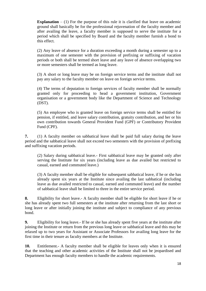**Explanation** – (1) For the purpose of this rule it is clarified that leave on academic ground shall basically be for the professional rejuvenation of the faculty member and after availing the leave, a faculty member is supposed to serve the institute for a period which shall be specified by Board and the faculty member furnish a bond to this effect.

(2) Any leave of absence for a duration exceeding a month during a semester up to a maximum of one semester with the provision of prefixing or suffixing of vacation periods or both shall be termed short leave and any leave of absence overlapping two or more semesters shall be termed as long leave.

(3) A short or long leave may be on foreign service terms and the institute shall not pay any salary to the faculty member on leave on foreign service terms.

(4) The terms of deputation to foreign services of faculty member shall be normally granted only for proceeding to head a government institution, Government organisation or a government body like the Department of Science and Technology (DST).

(5) An employee who is granted leave on foreign service terms shall be entitled for pension, if entitled, and leave salary contribution, gratuity contribution, and her or his own contribution towards General Provident Fund (GPF) or Contributory Provident Fund (CPF).

**7.** (1) A faculty member on sabbatical leave shall be paid full salary during the leave period and the sabbatical leave shall not exceed two semesters with the provision of prefixing and suffixing vacation periods.

(2) Salary during sabbatical leave.- First sabbatical leave may be granted only after serving the Institute for six years (including leave as due availed but restricted to casual, earned and commuted leave.)

(3) A faculty member shall be eligible for subsequent sabbatical leave, if he or she has already spent six years at the Institute since availing the last sabbatical (including leave as due availed restricted to casual, earned and commuted leave) and the number of sabbatical leave shall be limited to three in the entire service period.

**8.** Eligibility for short leave.- A faculty member shall be eligible for short leave if he or she has already spent two full semesters at the institute after returning from the last short or long leave or after initially joining the institute and subject to compliance of any previous bond.

**9.** Eligibility for long leave.- If he or she has already spent five years at the institute after joining the Institute or return from the previous long leave or sabbatical leave and this may be relaxed up to two years for Assistant or Associate Professors for availing long leave for the first time in their tenure as faculty members at the Institute.

**10.** Entitlement.- A faculty member shall be eligible for leaves only when it is ensured that the teaching and other academic activities of the Institute shall not be jeopardised and Department has enough faculty members to handle the academic requirements.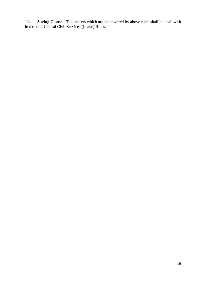**11. Saving Clause.-** The matters which are not covered by above rules shall be dealt with in terms of Central Civil Services (Leave) Rules.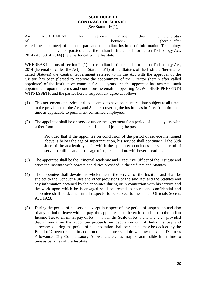#### **SCHEDULE III CONTRACT OF SERVICE** [See Statute 16(1)]

An AGREEMENT for service made this …..………day of……………………………….………. …………between ……………………(herein after called the appointee) of the one part and the Indian Institute of Information Technology \_\_\_\_\_\_\_\_\_\_\_\_\_\_\_\_, incorporated under the Indian Institutes of Information Technology Act, 2014 (Act 30 of 2014) (hereinafter called the Institute).

WHEREAS in terms of section 24(1) of the Indian Institutes of Information Technology Act, 2014 (hereinafter called the Act) and Statute 16(1) of the Statutes of the Institute (hereinafter called Statutes) the Central Government referred to in the Act with the approval of the Visitor, has been pleased to approve the appointment of the Director (herein after called appointee) of the Institute on contract for……..years and the appointee has accepted such appointment upon the terms and conditions hereinafter appearing NOW THESE PRESENTS WITNESSETH and the parties hereto respectively agree as follows:-

- (1) This agreement of service shall be deemed to have been entered into subject at all times to the provisions of the Act, and Statutes covering the institute as in force from time to time as applicable to permanent confirmed employees.
- (2) The appointee shall be on service under the agreement for a period of............ years with effect from ……………………that is date of joining the post.

Provided that if the appointee on conclusion of the period of service mentioned above is below the age of superannuation, his service shall continue till the 30th June of the academic year in which the appointee concludes the said period of service or till he attains the age of superannuation, whichever is earlier.

- (3) The appointee shall be the Principal academic and Executive Officer of the Institute and serve the Institute with powers and duties provided in the said Act and Statutes.
- (4) The appointee shall devote his wholetime to the service of the Institute and shall be subject to the Conduct Rules and other provisions of the said Act and the Statutes and any information obtained by the appointee during or in connection with his service and the work upon which he is engaged shall be treated as secret and confidential and appointee shall be deemed in all respects, to be subject to the Indian Officials Secrets Act, 1923.
- (5) During the period of his service except in respect of any period of suspension and also of any period of leave without pay, the appointee shall be entitled subject to the Indian Income Tax to an initial pay of Rs............ in the Scale of Rs: ……………… provided that if any time the appointee proceeds on deputation out of India his pay and allowances during the period of his deputation shall be such as may be decided by the Board of Governors and in addition the appointee shall draw allowances like Dearness Allowance, City Compensatory Allowances etc. as may be admissible from time to time as per rules of the Institute.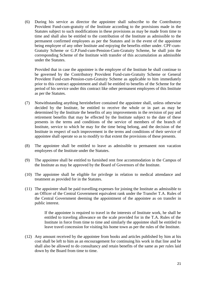(6) During his service as director the appointee shall subscribe to the Contributory Provident Fund-cum-gratuity of the Institute according to the provisions made in the Statutes subject to such modifications in these provisions as may be made from time to time and shall also be entitled to the contribution of the Institute as admissible to the permanent confirmed employees as per the Statutes and in the event of the appointee being employee of any other Institute and enjoying the benefits either under. CPF-cum-Gratuity Scheme or G.P.Fund-cum-Pension-Cum-Gratuity Scheme, he shall join the corresponding Scheme of the Institute with transfer of this accumulation as admissible under the Statutes.

Provided that in case the appointee is the employee of the Institute he shall continue to be governed by the Contributory Provident Fund-cum-Gratuity Scheme or General Provident Fund-cum-Pension-cum-Gratuity Scheme as applicable to him immediately prior to this contract appointment and shall be entitled to benefits of the Scheme for the period of his service under this contract like other permanent employees of this Institute as per the Statutes.

- (7) Notwithstanding anything hereinbefore contained the appointee shall, unless otherwise decided by the Institute, be entitled to receive the whole or in part as may be determined by the Institute the benefits of any improvements in the revision of pay and retirement benefits that may be effected by the Institute subject to the date of these presents in the terms and conditions of the service of members of the branch of Institute, service to which he may for the time being belong, and the decision of the Institute in respect of such improvement in the terms and conditions of their service of appointee shall operate so as to modify to that extent the provisions of these presents.
- (8) The appointee shall be entitled to leave as admissible to permanent non vacation employees of the Institute under the Statutes.
- (9) The appointee shall be entitled to furnished rent free accommodation in the Campus of the Institute as may be approved by the Board of Governors of the Institute.
- (10) The appointee shall be eligible for privilege in relation to medical attendance and treatment as provided for in the Statutes.
- (11) The appointee shall be paid travelling expenses for joining the Institute as admissible to an Officer of the Central Government equivalent rank under the Transfer T.A. Rules of the Central Government deeming the appointment of the appointee as on transfer in public interest.

If the appointee is required to travel in the interests of Institute work, he shall be entitled to traveling allowance on the scale provided for in the T.A. Rules of the Institute in force from time to time and similarly the appointee shall be entitled to leave travel concession for visiting his home town as per the rules of the Institute.

(12) Any amount received by the appointee from books and articles published by him at his cost shall be left to him as an encouragement for continuing his work in that line and he shall also be allowed to do consultancy and retain benefits of the same as per rules laid down by the Board from time to time.